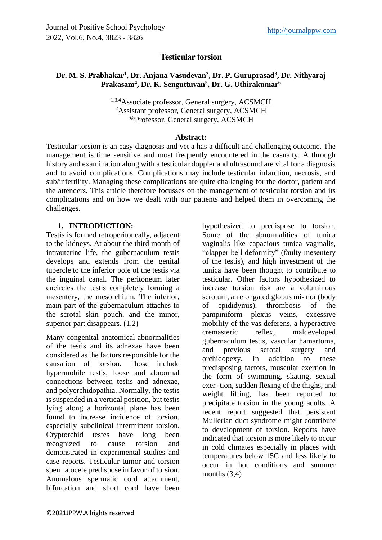# **Testicular torsion**

## **Dr. M. S. Prabhakar<sup>1</sup> , Dr. Anjana Vasudevan<sup>2</sup> , Dr. P. Guruprasad<sup>3</sup> , Dr. Nithyaraj Prakasam<sup>4</sup> , Dr. K. Senguttuvan<sup>5</sup> , Dr. G. Uthirakumar<sup>6</sup>**

1,3,4Associate professor, General surgery, ACSMCH <sup>2</sup>Assistant professor, General surgery, ACSMCH <sup>6,5</sup>Professor, General surgery, ACSMCH

#### **Abstract:**

Testicular torsion is an easy diagnosis and yet a has a difficult and challenging outcome. The management is time sensitive and most frequently encountered in the casualty. A through history and examination along with a testicular doppler and ultrasound are vital for a diagnosis and to avoid complications. Complications may include testicular infarction, necrosis, and sub/infertility. Managing these complications are quite challenging for the doctor, patient and the attenders. This article therefore focusses on the management of testicular torsion and its complications and on how we dealt with our patients and helped them in overcoming the challenges.

### **1. INTRODUCTION:**

Testis is formed retroperitoneally, adjacent to the kidneys. At about the third month of intrauterine life, the gubernaculum testis develops and extends from the genital tubercle to the inferior pole of the testis via the inguinal canal. The peritoneum later encircles the testis completely forming a mesentery, the mesorchium. The inferior, main part of the gubernaculum attaches to the scrotal skin pouch, and the minor, superior part disappears. (1,2)

Many congenital anatomical abnormalities of the testis and its adnexae have been considered as the factors responsible for the causation of torsion. Those include hypermobile testis, loose and abnormal connections between testis and adnexae, and polyorchidopathia. Normally, the testis is suspended in a vertical position, but testis lying along a horizontal plane has been found to increase incidence of torsion, especially subclinical intermittent torsion. Cryptorchid testes have long been recognized to cause torsion and demonstrated in experimental studies and case reports. Testicular tumor and torsion spermatocele predispose in favor of torsion. Anomalous spermatic cord attachment, bifurcation and short cord have been

hypothesized to predispose to torsion. Some of the abnormalities of tunica vaginalis like capacious tunica vaginalis, "clapper bell deformity" (faulty mesentery of the testis), and high investment of the tunica have been thought to contribute to testicular. Other factors hypothesized to increase torsion risk are a voluminous scrotum, an elongated globus mi- nor (body of epididymis), thrombosis of the pampiniform plexus veins, excessive mobility of the vas deferens, a hyperactive cremasteric reflex, maldeveloped gubernaculum testis, vascular hamartoma, and previous scrotal surgery and orchidopexy. In addition to these predisposing factors, muscular exertion in the form of swimming, skating, sexual exer- tion, sudden flexing of the thighs, and weight lifting, has been reported to precipitate torsion in the young adults. A recent report suggested that persistent Mullerian duct syndrome might contribute to development of torsion. Reports have indicated that torsion is more likely to occur in cold climates especially in places with temperatures below 15C and less likely to occur in hot conditions and summer months. $(3,4)$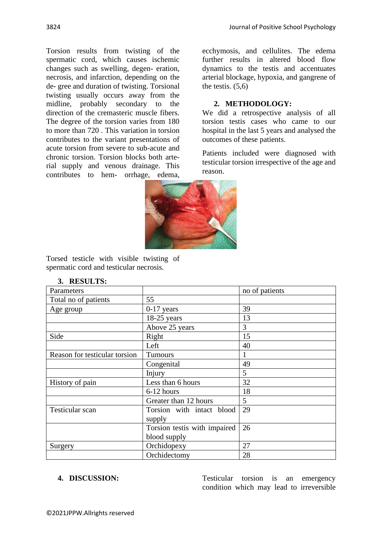Torsion results from twisting of the spermatic cord, which causes ischemic changes such as swelling, degen- eration, necrosis, and infarction, depending on the de- gree and duration of twisting. Torsional twisting usually occurs away from the midline, probably secondary to the direction of the cremasteric muscle fibers. The degree of the torsion varies from 180 to more than 720 . This variation in torsion contributes to the variant presentations of acute torsion from severe to sub-acute and chronic torsion. Torsion blocks both arterial supply and venous drainage. This contributes to hem- orrhage, edema,

ecchymosis, and cellulites. The edema further results in altered blood flow dynamics to the testis and accentuates arterial blockage, hypoxia, and gangrene of the testis.  $(5.6)$ 

#### **2. METHODOLOGY:**

We did a retrospective analysis of all torsion testis cases who came to our hospital in the last 5 years and analysed the outcomes of these patients.

Patients included were diagnosed with testicular torsion irrespective of the age and reason.



Torsed testicle with visible twisting of spermatic cord and testicular necrosis.

| Parameters                    |                              | no of patients |
|-------------------------------|------------------------------|----------------|
| Total no of patients          | 55                           |                |
| Age group                     | $0-17$ years                 | 39             |
|                               | $18-25$ years                | 13             |
|                               | Above 25 years               | 3              |
| Side                          | Right                        | 15             |
|                               | Left                         | 40             |
| Reason for testicular torsion | Tumours                      |                |
|                               | Congenital                   | 49             |
|                               | Injury                       | 5              |
| History of pain               | Less than 6 hours            | 32             |
|                               | 6-12 hours                   | 18             |
|                               | Greater than 12 hours        | 5              |
| Testicular scan               | Torsion with intact blood    | 29             |
|                               | supply                       |                |
|                               | Torsion testis with impaired | 26             |
|                               | blood supply                 |                |
| Surgery                       | Orchidopexy                  | 27             |
|                               | Orchidectomy                 | 28             |

#### **3. RESULTS:**

**4. DISCUSSION:** Testicular torsion is an emergency condition which may lead to irreversible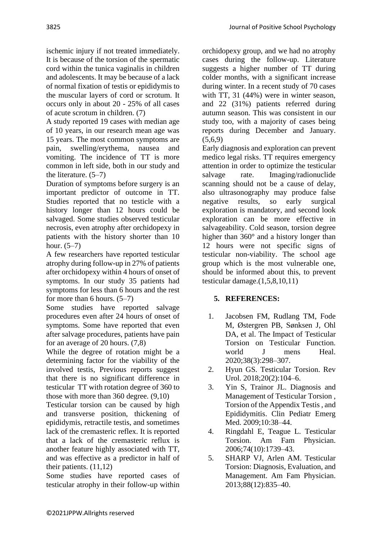ischemic injury if not treated immediately. It is because of the torsion of the spermatic cord within the tunica vaginalis in children and adolescents. It may be because of a lack of normal fixation of testis or epididymis to the muscular layers of cord or scrotum. It occurs only in about 20 - 25% of all cases

of acute scrotum in children. (7) A study reported 19 cases with median age of 10 years, in our research mean age was 15 years. The most common symptoms are pain, swelling/erythema, nausea and vomiting. The incidence of TT is more common in left side, both in our study and the literature. (5–7)

Duration of symptoms before surgery is an important predictor of outcome in TT. Studies reported that no testicle with a history longer than 12 hours could be salvaged. Some studies observed testicular necrosis, even atrophy after orchidopexy in patients with the history shorter than 10 hour. (5–7)

A few researchers have reported testicular atrophy during follow-up in 27% of patients after orchidopexy within 4 hours of onset of symptoms. In our study 35 patients had symptoms for less than 6 hours and the rest for more than 6 hours. (5–7)

Some studies have reported salvage procedures even after 24 hours of onset of symptoms. Some have reported that even after salvage procedures, patients have pain for an average of 20 hours. (7,8)

While the degree of rotation might be a determining factor for the viability of the involved testis, Previous reports suggest that there is no significant difference in testicular TT with rotation degree of 360 to those with more than 360 degree. (9,10)

Testicular torsion can be caused by high and transverse position, thickening of epididymis, retractile testis, and sometimes lack of the cremasteric reflex. It is reported that a lack of the cremasteric reflux is another feature highly associated with TT, and was effective as a predictor in half of their patients. (11,12)

Some studies have reported cases of testicular atrophy in their follow-up within orchidopexy group, and we had no atrophy cases during the follow-up. Literature suggests a higher number of TT during colder months, with a significant increase during winter. In a recent study of 70 cases with TT, 31 (44%) were in winter season, and 22 (31%) patients referred during autumn season. This was consistent in our study too, with a majority of cases being reports during December and January.  $(5,6,9)$ 

Early diagnosis and exploration can prevent medico legal risks. TT requires emergency attention in order to optimize the testicular salvage rate. Imaging/radionuclide scanning should not be a cause of delay, also ultrasonography may produce false negative results, so early surgical exploration is mandatory, and second look exploration can be more effective in salvageability. Cold season, torsion degree higher than 360° and a history longer than 12 hours were not specific signs of testicular non-viability. The school age group which is the most vulnerable one, should be informed about this, to prevent testicular damage.(1,5,8,10,11)

# **5. REFERENCES:**

- 1. Jacobsen FM, Rudlang TM, Fode M, Østergren PB, Sønksen J, Ohl DA, et al. The Impact of Testicular Torsion on Testicular Function. world J mens Heal. 2020;38(3):298–307.
- 2. Hyun GS. Testicular Torsion. Rev Urol. 2018;20(2):104–6.
- 3. Yin S, Trainor JL. Diagnosis and Management of Testicular Torsion , Torsion of the Appendix Testis , and Epididymitis. Clin Pediatr Emerg Med. 2009;10:38–44.
- 4. Ringdahl E, Teague L. Testicular Torsion. Am Fam Physician. 2006;74(10):1739–43.
- 5. SHARP VJ, Arlen AM. Testicular Torsion: Diagnosis, Evaluation, and Management. Am Fam Physician. 2013;88(12):835–40.